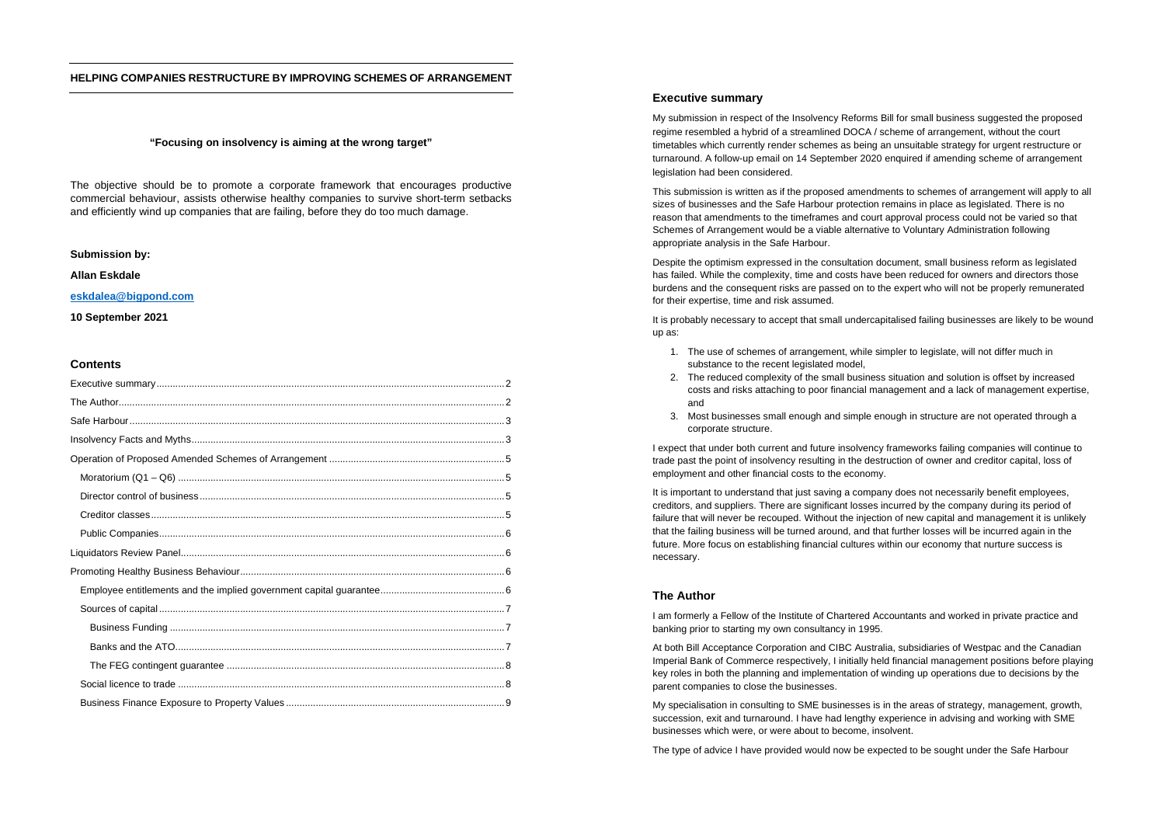## **HELPING COMPANIES RESTRUCTURE BY IMPROVING SCHEMES OF ARRANGEMENT**

### **"Focusing on insolvency is aiming at the wrong target"**

The objective should be to promote a corporate framework that encourages productive commercial behaviour, assists otherwise healthy companies to survive short-term setbacks and efficiently wind up companies that are failing, before they do too much damage.

### **Submission by:**

## **Allan Eskdale**

# **eskdalea@bigpond.com**

### **10 September 2021**

### **Contents**

### **Executive summary**

My submission in respect of the Insolvency Reforms Bill for small business suggested the proposed regime resembled a hybrid of a streamlined DOCA / scheme of arrangement, without the court timetables which currently render schemes as being an unsuitable strategy for urgent restructure or turnaround. A follow-up email on 14 September 2020 enquired if amending scheme of arrangement legislation had been considered.

This submission is written as if the proposed amendments to schemes of arrangement will apply to all sizes of businesses and the Safe Harbour protection remains in place as legislated. There is no reason that amendments to the timeframes and court approval process could not be varied so that Schemes of Arrangement would be a viable alternative to Voluntary Administration following appropriate analysis in the Safe Harbour.

Despite the optimism expressed in the consultation document, small business reform as legislated has failed. While the complexity, time and costs have been reduced for owners and directors those burdens and the consequent risks are passed on to the expert who will not be properly remunerated for their expertise, time and risk assumed.

It is probably necessary to accept that small undercapitalised failing businesses are likely to be wound up as:

- 1. The use of schemes of arrangement, while simpler to legislate, will not differ much in substance to the recent legislated model.
- 2. The reduced complexity of the small business situation and solution is offset by increased costs and risks attaching to poor financial management and a lack of management expertise, and
- 3. Most businesses small enough and simple enough in structure are not operated through a corporate structure.

I expect that under both current and future insolvency frameworks failing companies will continue to trade past the point of insolvency resulting in the destruction of owner and creditor capital, loss of employment and other financial costs to the economy.

It is important to understand that just saving a company does not necessarily benefit employees, creditors, and suppliers. There are significant losses incurred by the company during its period of failure that will never be recouped. Without the injection of new capital and management it is unlikely that the failing business will be turned around, and that further losses will be incurred again in the future. More focus on establishing financial cultures within our economy that nurture success is necessary.

# **The Author**

I am formerly a Fellow of the Institute of Chartered Accountants and worked in private practice and banking prior to starting my own consultancy in 1995.

At both Bill Acceptance Corporation and CIBC Australia, subsidiaries of Westpac and the Canadian Imperial Bank of Commerce respectively, I initially held financial management positions before playing key roles in both the planning and implementation of winding up operations due to decisions by the parent companies to close the businesses.

My specialisation in consulting to SME businesses is in the areas of strategy, management, growth, succession, exit and turnaround. I have had lengthy experience in advising and working with SME businesses which were, or were about to become, insolvent.

The type of advice I have provided would now be expected to be sought under the Safe Harbour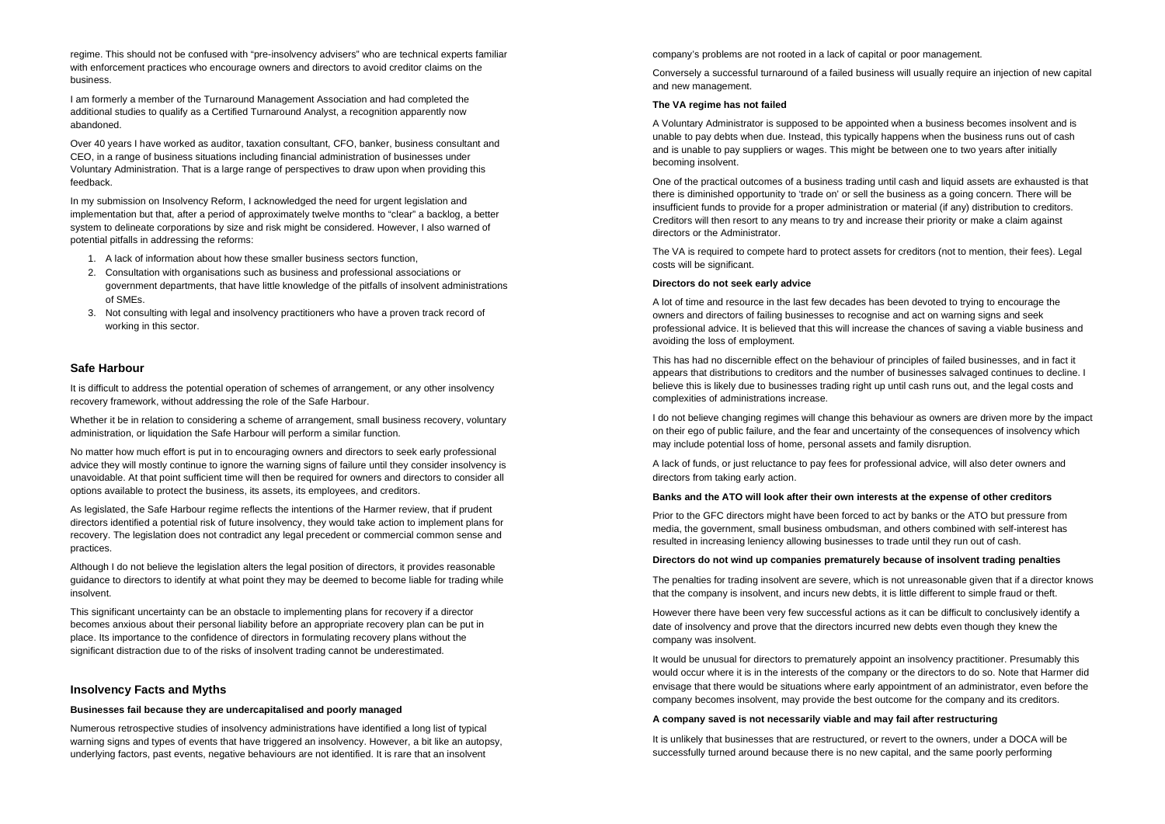regime. This should not be confused with "pre-insolvency advisers" who are technical experts familiar with enforcement practices who encourage owners and directors to avoid creditor claims on the business.

I am formerly a member of the Turnaround Management Association and had completed the additional studies to qualify as a Certified Turnaround Analyst, a recognition apparently now abandoned.

Over 40 years I have worked as auditor, taxation consultant, CFO, banker, business consultant and CEO, in a range of business situations including financial administration of businesses under Voluntary Administration. That is a large range of perspectives to draw upon when providing this feedback.

In my submission on Insolvency Reform, I acknowledged the need for urgent legislation and implementation but that, after a period of approximately twelve months to "clear" a backlog, a better system to delineate corporations by size and risk might be considered. However, I also warned of potential pitfalls in addressing the reforms:

- 1. A lack of information about how these smaller business sectors function,
- 2. Consultation with organisations such as business and professional associations or government departments, that have little knowledge of the pitfalls of insolvent administrations of SMEs.
- 3. Not consulting with legal and insolvency practitioners who have a proven track record of working in this sector.

## **Safe Harbour**

It is difficult to address the potential operation of schemes of arrangement, or any other insolvency recovery framework, without addressing the role of the Safe Harbour.

Whether it be in relation to considering a scheme of arrangement, small business recovery, voluntary administration, or liquidation the Safe Harbour will perform a similar function.

No matter how much effort is put in to encouraging owners and directors to seek early professional advice they will mostly continue to ignore the warning signs of failure until they consider insolvency is unavoidable. At that point sufficient time will then be required for owners and directors to consider all options available to protect the business, its assets, its employees, and creditors.

As legislated, the Safe Harbour regime reflects the intentions of the Harmer review, that if prudent directors identified a potential risk of future insolvency, they would take action to implement plans for recovery. The legislation does not contradict any legal precedent or commercial common sense and practices.

Although I do not believe the legislation alters the legal position of directors, it provides reasonable guidance to directors to identify at what point they may be deemed to become liable for trading while insolvent.

This significant uncertainty can be an obstacle to implementing plans for recovery if a director becomes anxious about their personal liability before an appropriate recovery plan can be put in place. Its importance to the confidence of directors in formulating recovery plans without the significant distraction due to of the risks of insolvent trading cannot be underestimated.

# **Insolvency Facts and Myths**

#### **Businesses fail because they are undercapitalised and poorly managed**

Numerous retrospective studies of insolvency administrations have identified a long list of typical warning signs and types of events that have triggered an insolvency. However, a bit like an autopsy, underlying factors, past events, negative behaviours are not identified. It is rare that an insolvent

company's problems are not rooted in a lack of capital or poor management.

Conversely a successful turnaround of a failed business will usually require an injection of new capital and new management.

### **The VA regime has not failed**

A Voluntary Administrator is supposed to be appointed when a business becomes insolvent and is unable to pay debts when due. Instead, this typically happens when the business runs out of cash and is unable to pay suppliers or wages. This might be between one to two years after initially becoming insolvent.

One of the practical outcomes of a business trading until cash and liquid assets are exhausted is that there is diminished opportunity to 'trade on' or sell the business as a going concern. There will be insufficient funds to provide for a proper administration or material (if any) distribution to creditors. Creditors will then resort to any means to try and increase their priority or make a claim against directors or the Administrator.

The VA is required to compete hard to protect assets for creditors (not to mention, their fees). Legal costs will be significant.

#### **Directors do not seek early advice**

A lot of time and resource in the last few decades has been devoted to trying to encourage the owners and directors of failing businesses to recognise and act on warning signs and seek professional advice. It is believed that this will increase the chances of saving a viable business and avoiding the loss of employment.

This has had no discernible effect on the behaviour of principles of failed businesses, and in fact it appears that distributions to creditors and the number of businesses salvaged continues to decline. I believe this is likely due to businesses trading right up until cash runs out, and the legal costs and complexities of administrations increase.

I do not believe changing regimes will change this behaviour as owners are driven more by the impact on their ego of public failure, and the fear and uncertainty of the consequences of insolvency which may include potential loss of home, personal assets and family disruption.

A lack of funds, or just reluctance to pay fees for professional advice, will also deter owners and directors from taking early action.

#### **Banks and the ATO will look after their own interests at the expense of other creditors**

Prior to the GFC directors might have been forced to act by banks or the ATO but pressure from media, the government, small business ombudsman, and others combined with self-interest has resulted in increasing leniency allowing businesses to trade until they run out of cash.

#### **Directors do not wind up companies prematurely because of insolvent trading penalties**

The penalties for trading insolvent are severe, which is not unreasonable given that if a director knows that the company is insolvent, and incurs new debts, it is little different to simple fraud or theft.

However there have been very few successful actions as it can be difficult to conclusively identify a date of insolvency and prove that the directors incurred new debts even though they knew the company was insolvent.

It would be unusual for directors to prematurely appoint an insolvency practitioner. Presumably this would occur where it is in the interests of the company or the directors to do so. Note that Harmer did envisage that there would be situations where early appointment of an administrator, even before the company becomes insolvent, may provide the best outcome for the company and its creditors.

### **A company saved is not necessarily viable and may fail after restructuring**

It is unlikely that businesses that are restructured, or revert to the owners, under a DOCA will be successfully turned around because there is no new capital, and the same poorly performing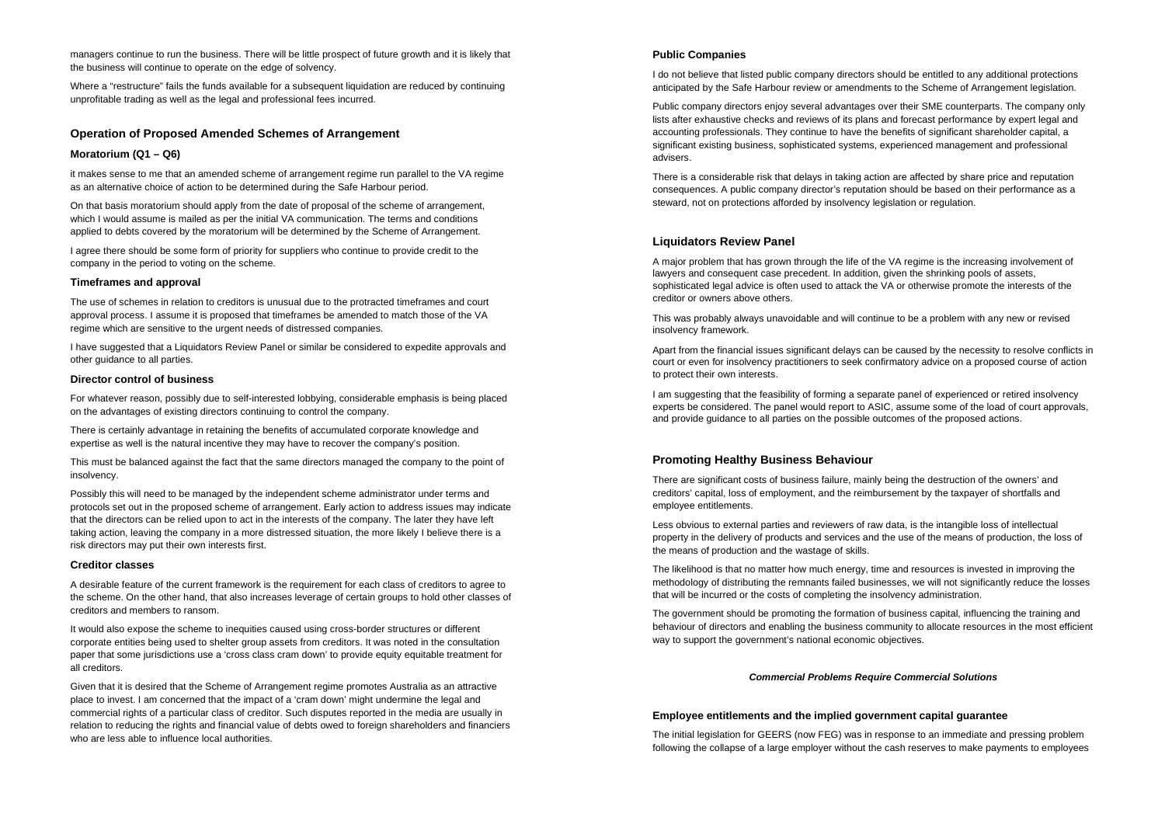managers continue to run the business. There will be little prospect of future growth and it is likely that the business will continue to operate on the edge of solvency.

Where a "restructure" fails the funds available for a subsequent liquidation are reduced by continuing unprofitable trading as well as the legal and professional fees incurred.

### **Operation of Proposed Amended Schemes of Arrangement**

## **Moratorium (Q1 – Q6)**

it makes sense to me that an amended scheme of arrangement regime run parallel to the VA regime as an alternative choice of action to be determined during the Safe Harbour period.

On that basis moratorium should apply from the date of proposal of the scheme of arrangement, which I would assume is mailed as per the initial VA communication. The terms and conditions applied to debts covered by the moratorium will be determined by the Scheme of Arrangement.

I agree there should be some form of priority for suppliers who continue to provide credit to the company in the period to voting on the scheme.

#### **Timeframes and approval**

The use of schemes in relation to creditors is unusual due to the protracted timeframes and court approval process. I assume it is proposed that timeframes be amended to match those of the VA regime which are sensitive to the urgent needs of distressed companies.

I have suggested that a Liquidators Review Panel or similar be considered to expedite approvals and other guidance to all parties.

### **Director control of business**

For whatever reason, possibly due to self-interested lobbying, considerable emphasis is being placed on the advantages of existing directors continuing to control the company.

There is certainly advantage in retaining the benefits of accumulated corporate knowledge and expertise as well is the natural incentive they may have to recover the company's position.

This must be balanced against the fact that the same directors managed the company to the point of insolvency.

Possibly this will need to be managed by the independent scheme administrator under terms and protocols set out in the proposed scheme of arrangement. Early action to address issues may indicate that the directors can be relied upon to act in the interests of the company. The later they have left taking action, leaving the company in a more distressed situation, the more likely I believe there is a risk directors may put their own interests first.

#### **Creditor classes**

A desirable feature of the current framework is the requirement for each class of creditors to agree to the scheme. On the other hand, that also increases leverage of certain groups to hold other classes of creditors and members to ransom.

It would also expose the scheme to inequities caused using cross-border structures or different corporate entities being used to shelter group assets from creditors. It was noted in the consultation paper that some jurisdictions use a 'cross class cram down' to provide equity equitable treatment for all creditors.

Given that it is desired that the Scheme of Arrangement regime promotes Australia as an attractive place to invest. I am concerned that the impact of a 'cram down' might undermine the legal and commercial rights of a particular class of creditor. Such disputes reported in the media are usually in relation to reducing the rights and financial value of debts owed to foreign shareholders and financiers who are less able to influence local authorities.

## **Public Companies**

I do not believe that listed public company directors should be entitled to any additional protections anticipated by the Safe Harbour review or amendments to the Scheme of Arrangement legislation.

Public company directors enjoy several advantages over their SME counterparts. The company only lists after exhaustive checks and reviews of its plans and forecast performance by expert legal and accounting professionals. They continue to have the benefits of significant shareholder capital, a significant existing business, sophisticated systems, experienced management and professional advisers.

There is a considerable risk that delays in taking action are affected by share price and reputation consequences. A public company director's reputation should be based on their performance as a steward, not on protections afforded by insolvency legislation or regulation.

# **Liquidators Review Panel**

A major problem that has grown through the life of the VA regime is the increasing involvement of lawyers and consequent case precedent. In addition, given the shrinking pools of assets, sophisticated legal advice is often used to attack the VA or otherwise promote the interests of the creditor or owners above others.

This was probably always unavoidable and will continue to be a problem with any new or revised insolvency framework.

Apart from the financial issues significant delays can be caused by the necessity to resolve conflicts in court or even for insolvency practitioners to seek confirmatory advice on a proposed course of action to protect their own interests.

I am suggesting that the feasibility of forming a separate panel of experienced or retired insolvency experts be considered. The panel would report to ASIC, assume some of the load of court approvals, and provide guidance to all parties on the possible outcomes of the proposed actions.

## **Promoting Healthy Business Behaviour**

There are significant costs of business failure, mainly being the destruction of the owners' and creditors' capital, loss of employment, and the reimbursement by the taxpayer of shortfalls and employee entitlements.

Less obvious to external parties and reviewers of raw data, is the intangible loss of intellectual property in the delivery of products and services and the use of the means of production, the loss of the means of production and the wastage of skills.

The likelihood is that no matter how much energy, time and resources is invested in improving the methodology of distributing the remnants failed businesses, we will not significantly reduce the losses that will be incurred or the costs of completing the insolvency administration.

The government should be promoting the formation of business capital, influencing the training and behaviour of directors and enabling the business community to allocate resources in the most efficient way to support the government's national economic objectives.

### *Commercial Problems Require Commercial Solutions*

## **Employee entitlements and the implied government capital guarantee**

The initial legislation for GEERS (now FEG) was in response to an immediate and pressing problem following the collapse of a large employer without the cash reserves to make payments to employees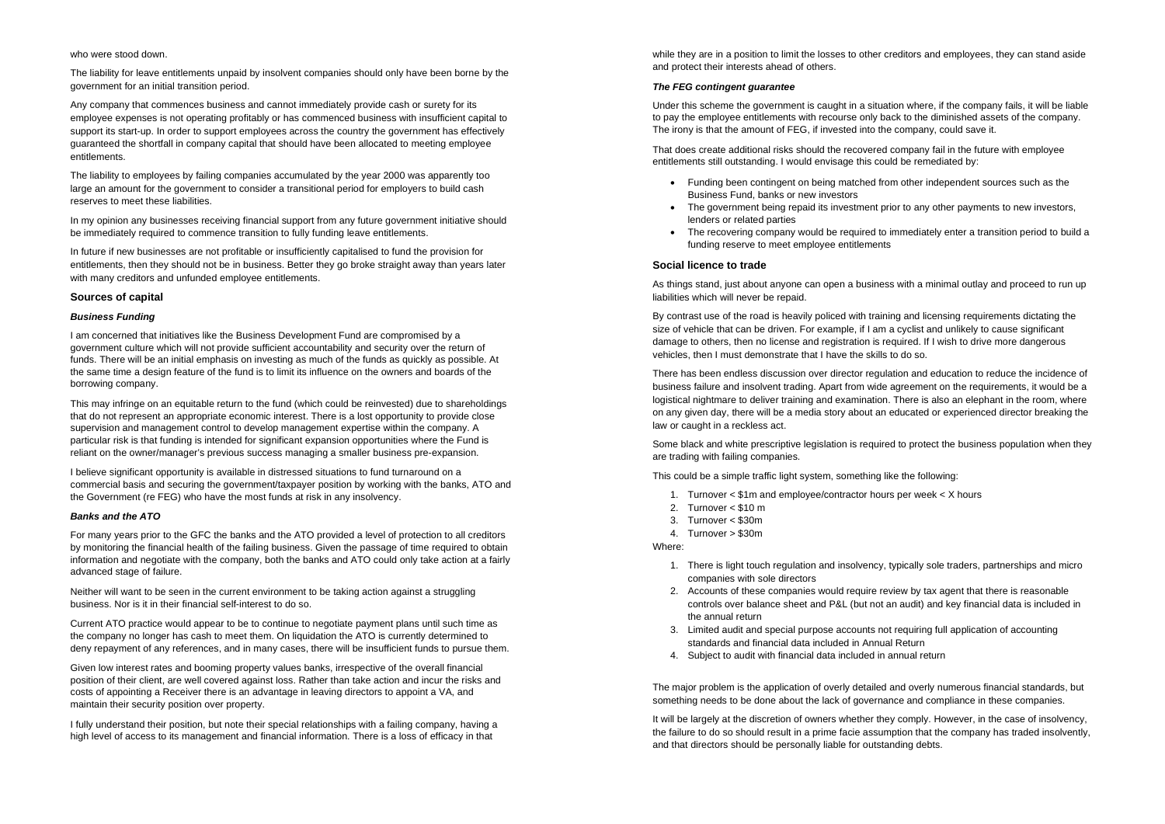#### who were stood down.

The liability for leave entitlements unpaid by insolvent companies should only have been borne by the government for an initial transition period.

Any company that commences business and cannot immediately provide cash or surety for its employee expenses is not operating profitably or has commenced business with insufficient capital to support its start-up. In order to support employees across the country the government has effectively guaranteed the shortfall in company capital that should have been allocated to meeting employee entitlements.

The liability to employees by failing companies accumulated by the year 2000 was apparently too large an amount for the government to consider a transitional period for employers to build cash reserves to meet these liabilities.

In my opinion any businesses receiving financial support from any future government initiative should be immediately required to commence transition to fully funding leave entitlements.

In future if new businesses are not profitable or insufficiently capitalised to fund the provision for entitlements, then they should not be in business. Better they go broke straight away than years later with many creditors and unfunded employee entitlements.

# **Sources of capital**

### *Business Funding*

I am concerned that initiatives like the Business Development Fund are compromised by a government culture which will not provide sufficient accountability and security over the return of funds. There will be an initial emphasis on investing as much of the funds as quickly as possible. At the same time a design feature of the fund is to limit its influence on the owners and boards of the borrowing company.

This may infringe on an equitable return to the fund (which could be reinvested) due to shareholdings that do not represent an appropriate economic interest. There is a lost opportunity to provide close supervision and management control to develop management expertise within the company. A particular risk is that funding is intended for significant expansion opportunities where the Fund is reliant on the owner/manager's previous success managing a smaller business pre-expansion.

I believe significant opportunity is available in distressed situations to fund turnaround on a commercial basis and securing the government/taxpayer position by working with the banks, ATO and the Government (re FEG) who have the most funds at risk in any insolvency.

#### *Banks and the ATO*

For many years prior to the GFC the banks and the ATO provided a level of protection to all creditors by monitoring the financial health of the failing business. Given the passage of time required to obtain information and negotiate with the company, both the banks and ATO could only take action at a fairly advanced stage of failure.

Neither will want to be seen in the current environment to be taking action against a struggling business. Nor is it in their financial self-interest to do so.

Current ATO practice would appear to be to continue to negotiate payment plans until such time as the company no longer has cash to meet them. On liquidation the ATO is currently determined to deny repayment of any references, and in many cases, there will be insufficient funds to pursue them.

Given low interest rates and booming property values banks, irrespective of the overall financial position of their client, are well covered against loss. Rather than take action and incur the risks and costs of appointing a Receiver there is an advantage in leaving directors to appoint a VA, and maintain their security position over property.

I fully understand their position, but note their special relationships with a failing company, having a high level of access to its management and financial information. There is a loss of efficacy in that

while they are in a position to limit the losses to other creditors and employees, they can stand aside and protect their interests ahead of others.

### *The FEG contingent guarantee*

Under this scheme the government is caught in a situation where, if the company fails, it will be liable to pay the employee entitlements with recourse only back to the diminished assets of the company. The irony is that the amount of FEG, if invested into the company, could save it.

That does create additional risks should the recovered company fail in the future with employee entitlements still outstanding. I would envisage this could be remediated by:

- Funding been contingent on being matched from other independent sources such as the Business Fund, banks or new investors
- The government being repaid its investment prior to any other payments to new investors. lenders or related parties
- The recovering company would be required to immediately enter a transition period to build a funding reserve to meet employee entitlements

# **Social licence to trade**

As things stand, just about anyone can open a business with a minimal outlay and proceed to run up liabilities which will never be repaid.

By contrast use of the road is heavily policed with training and licensing requirements dictating the size of vehicle that can be driven. For example, if I am a cyclist and unlikely to cause significant damage to others, then no license and registration is required. If I wish to drive more dangerous vehicles, then I must demonstrate that I have the skills to do so.

There has been endless discussion over director regulation and education to reduce the incidence of business failure and insolvent trading. Apart from wide agreement on the requirements, it would be a logistical nightmare to deliver training and examination. There is also an elephant in the room, where on any given day, there will be a media story about an educated or experienced director breaking the law or caught in a reckless act.

Some black and white prescriptive legislation is required to protect the business population when they are trading with failing companies.

This could be a simple traffic light system, something like the following:

- 1. Turnover < \$1m and employee/contractor hours per week < X hours
- 2. Turnover < \$10 m
- 3. Turnover < \$30m
- 4. Turnover > \$30m

Where:

- 1. There is light touch regulation and insolvency, typically sole traders, partnerships and micro companies with sole directors
- 2. Accounts of these companies would require review by tax agent that there is reasonable controls over balance sheet and P&L (but not an audit) and key financial data is included in the annual return
- 3. Limited audit and special purpose accounts not requiring full application of accounting standards and financial data included in Annual Return
- 4. Subject to audit with financial data included in annual return

The major problem is the application of overly detailed and overly numerous financial standards, but something needs to be done about the lack of governance and compliance in these companies.

It will be largely at the discretion of owners whether they comply. However, in the case of insolvency, the failure to do so should result in a prime facie assumption that the company has traded insolvently, and that directors should be personally liable for outstanding debts.